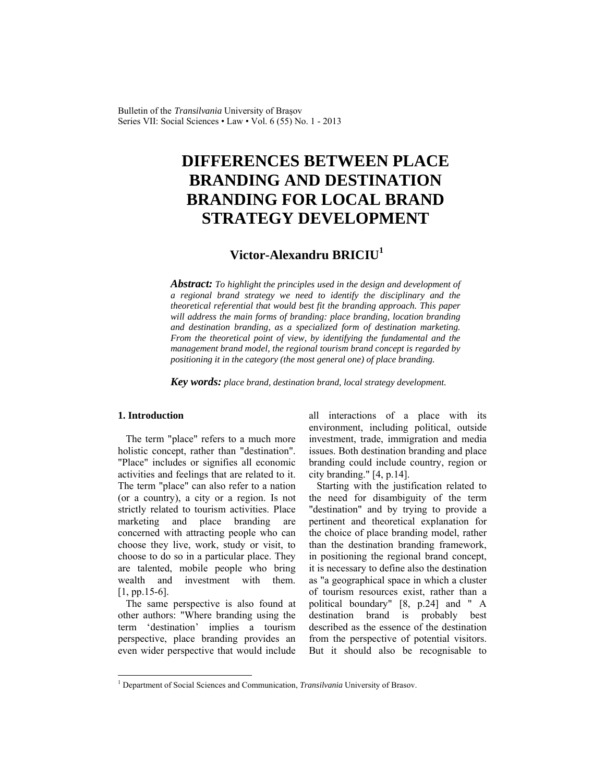Bulletin of the *Transilvania* University of Braşov Series VII: Social Sciences • Law • Vol. 6 (55) No. 1 - 2013

# **DIFFERENCES BETWEEN PLACE BRANDING AND DESTINATION BRANDING FOR LOCAL BRAND STRATEGY DEVELOPMENT**

## **Victor-Alexandru BRICIU<sup>1</sup>**

*Abstract: To highlight the principles used in the design and development of a regional brand strategy we need to identify the disciplinary and the theoretical referential that would best fit the branding approach. This paper will address the main forms of branding: place branding, location branding and destination branding, as a specialized form of destination marketing. From the theoretical point of view, by identifying the fundamental and the management brand model, the regional tourism brand concept is regarded by positioning it in the category (the most general one) of place branding.* 

*Key words: place brand, destination brand, local strategy development.*

#### **1. Introduction**

 $\overline{\phantom{a}}$ 

The term "place" refers to a much more holistic concept, rather than "destination". "Place" includes or signifies all economic activities and feelings that are related to it. The term "place" can also refer to a nation (or a country), a city or a region. Is not strictly related to tourism activities. Place marketing and place branding are concerned with attracting people who can choose they live, work, study or visit, to choose to do so in a particular place. They are talented, mobile people who bring wealth and investment with them. [1, pp.15-6].

The same perspective is also found at other authors: "Where branding using the term 'destination' implies a tourism perspective, place branding provides an even wider perspective that would include all interactions of a place with its environment, including political, outside investment, trade, immigration and media issues. Both destination branding and place branding could include country, region or city branding." [4, p.14].

Starting with the justification related to the need for disambiguity of the term "destination" and by trying to provide a pertinent and theoretical explanation for the choice of place branding model, rather than the destination branding framework, in positioning the regional brand concept, it is necessary to define also the destination as "a geographical space in which a cluster of tourism resources exist, rather than a political boundary" [8, p.24] and " A destination brand is probably best described as the essence of the destination from the perspective of potential visitors. But it should also be recognisable to

<sup>&</sup>lt;sup>1</sup> Department of Social Sciences and Communication, *Transilvania* University of Brasov.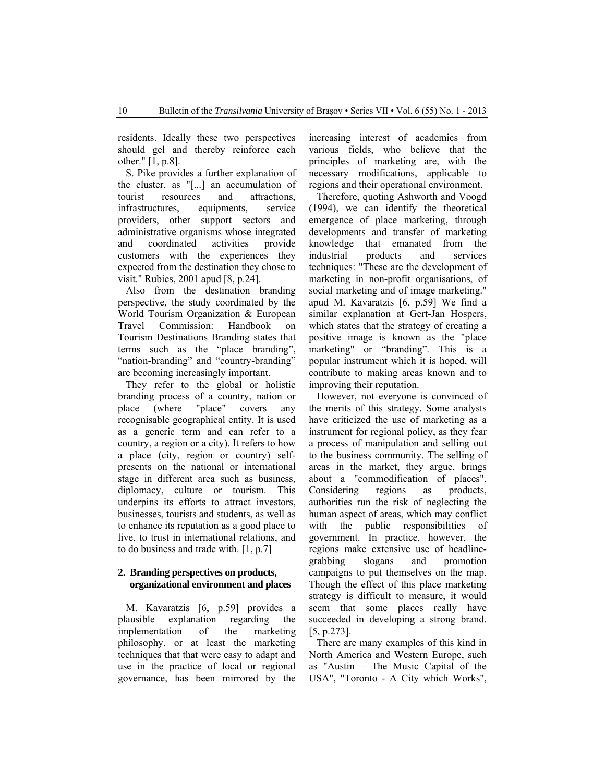residents. Ideally these two perspectives should gel and thereby reinforce each other." [1, p.8].

S. Pike provides a further explanation of the cluster, as "[...] an accumulation of tourist resources and attractions, infrastructures, equipments, service providers, other support sectors and administrative organisms whose integrated and coordinated activities provide customers with the experiences they expected from the destination they chose to visit." Rubies, 2001 apud [8, p.24].

Also from the destination branding perspective, the study coordinated by the World Tourism Organization & European Travel Commission: Handbook on Tourism Destinations Branding states that terms such as the "place branding", "nation-branding" and "country-branding" are becoming increasingly important.

They refer to the global or holistic branding process of a country, nation or place (where "place" covers any recognisable geographical entity. It is used as a generic term and can refer to a country, a region or a city). It refers to how a place (city, region or country) selfpresents on the national or international stage in different area such as business, diplomacy, culture or tourism. This underpins its efforts to attract investors, businesses, tourists and students, as well as to enhance its reputation as a good place to live, to trust in international relations, and to do business and trade with. [1, p.7]

### **2. Branding perspectives on products, organizational environment and places**

M. Kavaratzis [6, p.59] provides a plausible explanation regarding the implementation of the marketing philosophy, or at least the marketing techniques that that were easy to adapt and use in the practice of local or regional governance, has been mirrored by the increasing interest of academics from various fields, who believe that the principles of marketing are, with the necessary modifications, applicable to regions and their operational environment.

Therefore, quoting Ashworth and Voogd (1994), we can identify the theoretical emergence of place marketing, through developments and transfer of marketing knowledge that emanated from the industrial products and services techniques: "These are the development of marketing in non-profit organisations, of social marketing and of image marketing." apud M. Kavaratzis [6, p.59] We find a similar explanation at Gert-Jan Hospers, which states that the strategy of creating a positive image is known as the "place marketing" or "branding". This is a popular instrument which it is hoped, will contribute to making areas known and to improving their reputation.

However, not everyone is convinced of the merits of this strategy. Some analysts have criticized the use of marketing as a instrument for regional policy, as they fear a process of manipulation and selling out to the business community. The selling of areas in the market, they argue, brings about a "commodification of places". Considering regions as products, authorities run the risk of neglecting the human aspect of areas, which may conflict with the public responsibilities of government. In practice, however, the regions make extensive use of headlinegrabbing slogans and promotion campaigns to put themselves on the map. Though the effect of this place marketing strategy is difficult to measure, it would seem that some places really have succeeded in developing a strong brand. [5, p.273].

There are many examples of this kind in North America and Western Europe, such as "Austin – The Music Capital of the USA", "Toronto - A City which Works",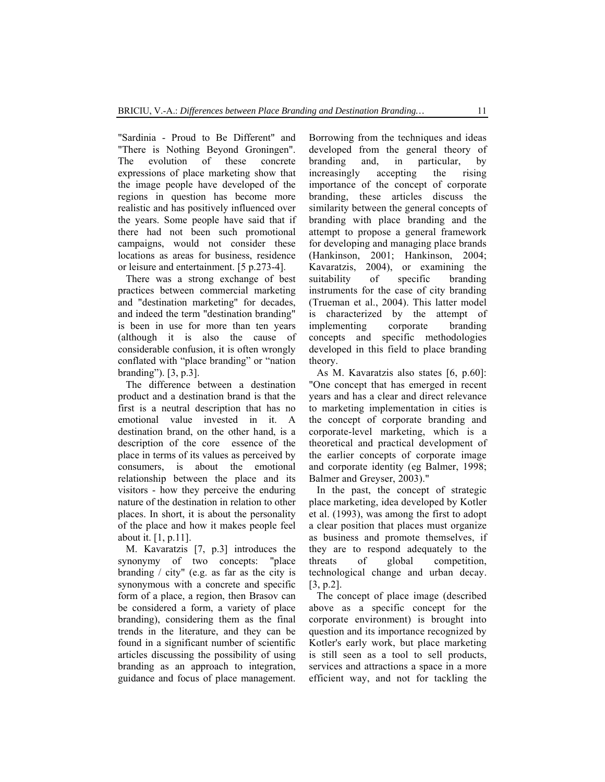"Sardinia - Proud to Be Different" and "There is Nothing Beyond Groningen". The evolution of these concrete expressions of place marketing show that the image people have developed of the regions in question has become more realistic and has positively influenced over the years. Some people have said that if there had not been such promotional campaigns, would not consider these locations as areas for business, residence or leisure and entertainment. [5 p.273-4].

There was a strong exchange of best practices between commercial marketing and "destination marketing" for decades, and indeed the term "destination branding" is been in use for more than ten years (although it is also the cause of considerable confusion, it is often wrongly conflated with "place branding" or "nation branding"). [3, p.3].

 The difference between a destination product and a destination brand is that the first is a neutral description that has no emotional value invested in it. A destination brand, on the other hand, is a description of the core essence of the place in terms of its values as perceived by consumers, is about the emotional relationship between the place and its visitors - how they perceive the enduring nature of the destination in relation to other places. In short, it is about the personality of the place and how it makes people feel about it. [1, p.11].

M. Kavaratzis [7, p.3] introduces the synonymy of two concepts: "place branding / city" (e.g. as far as the city is synonymous with a concrete and specific form of a place, a region, then Brasov can be considered a form, a variety of place branding), considering them as the final trends in the literature, and they can be found in a significant number of scientific articles discussing the possibility of using branding as an approach to integration, guidance and focus of place management. Borrowing from the techniques and ideas developed from the general theory of branding and, in particular, by increasingly accepting the rising importance of the concept of corporate branding, these articles discuss the similarity between the general concepts of branding with place branding and the attempt to propose a general framework for developing and managing place brands (Hankinson, 2001; Hankinson, 2004; Kavaratzis, 2004), or examining the suitability of specific branding instruments for the case of city branding (Trueman et al., 2004). This latter model is characterized by the attempt of implementing corporate branding concepts and specific methodologies developed in this field to place branding theory.

As M. Kavaratzis also states [6, p.60]: "One concept that has emerged in recent years and has a clear and direct relevance to marketing implementation in cities is the concept of corporate branding and corporate-level marketing, which is a theoretical and practical development of the earlier concepts of corporate image and corporate identity (eg Balmer, 1998; Balmer and Greyser, 2003)."

In the past, the concept of strategic place marketing, idea developed by Kotler et al. (1993), was among the first to adopt a clear position that places must organize as business and promote themselves, if they are to respond adequately to the threats of global competition, technological change and urban decay. [3, p.2].

The concept of place image (described above as a specific concept for the corporate environment) is brought into question and its importance recognized by Kotler's early work, but place marketing is still seen as a tool to sell products, services and attractions a space in a more efficient way, and not for tackling the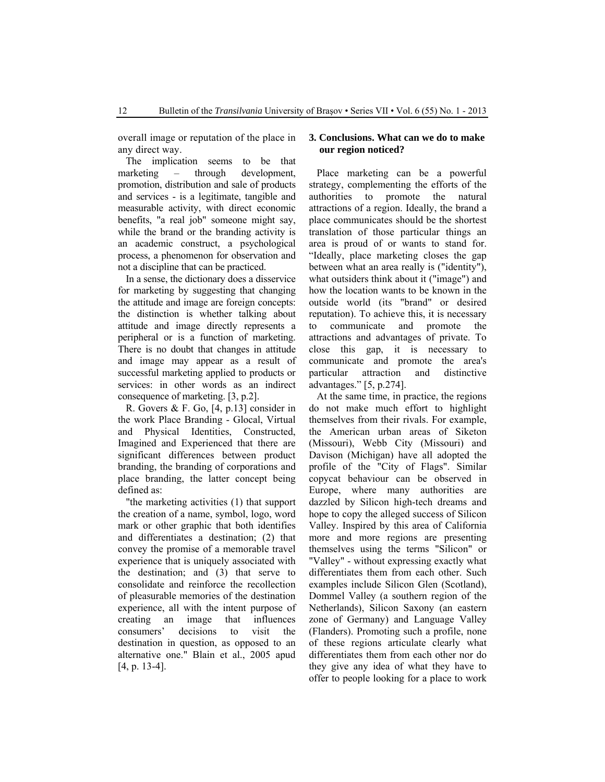overall image or reputation of the place in any direct way.

The implication seems to be that<br>aarketing – through development marketing – through development, promotion, distribution and sale of products and services - is a legitimate, tangible and measurable activity, with direct economic benefits, "a real job" someone might say, while the brand or the branding activity is an academic construct, a psychological process, a phenomenon for observation and not a discipline that can be practiced.

 In a sense, the dictionary does a disservice for marketing by suggesting that changing the attitude and image are foreign concepts: the distinction is whether talking about attitude and image directly represents a peripheral or is a function of marketing. There is no doubt that changes in attitude and image may appear as a result of successful marketing applied to products or services: in other words as an indirect consequence of marketing. [3, p.2].

R. Govers & F. Go, [4, p.13] consider in the work Place Branding - Glocal, Virtual and Physical Identities, Constructed, Imagined and Experienced that there are significant differences between product branding, the branding of corporations and place branding, the latter concept being defined as:

"the marketing activities (1) that support the creation of a name, symbol, logo, word mark or other graphic that both identifies and differentiates a destination; (2) that convey the promise of a memorable travel experience that is uniquely associated with the destination; and (3) that serve to consolidate and reinforce the recollection of pleasurable memories of the destination experience, all with the intent purpose of creating an image that influences consumers' decisions to visit the destination in question, as opposed to an alternative one." Blain et al., 2005 apud [4, p. 13-4].

#### **3. Conclusions. What can we do to make our region noticed?**

Place marketing can be a powerful strategy, complementing the efforts of the authorities to promote the natural attractions of a region. Ideally, the brand a place communicates should be the shortest translation of those particular things an area is proud of or wants to stand for. "Ideally, place marketing closes the gap between what an area really is ("identity"), what outsiders think about it ("image") and how the location wants to be known in the outside world (its "brand" or desired reputation). To achieve this, it is necessary to communicate and promote the attractions and advantages of private. To close this gap, it is necessary to communicate and promote the area's particular attraction and distinctive advantages." [5, p.274].

At the same time, in practice, the regions do not make much effort to highlight themselves from their rivals. For example, the American urban areas of Siketon (Missouri), Webb City (Missouri) and Davison (Michigan) have all adopted the profile of the "City of Flags". Similar copycat behaviour can be observed in Europe, where many authorities are dazzled by Silicon high-tech dreams and hope to copy the alleged success of Silicon Valley. Inspired by this area of California more and more regions are presenting themselves using the terms "Silicon" or "Valley" - without expressing exactly what differentiates them from each other. Such examples include Silicon Glen (Scotland), Dommel Valley (a southern region of the Netherlands), Silicon Saxony (an eastern zone of Germany) and Language Valley (Flanders). Promoting such a profile, none of these regions articulate clearly what differentiates them from each other nor do they give any idea of what they have to offer to people looking for a place to work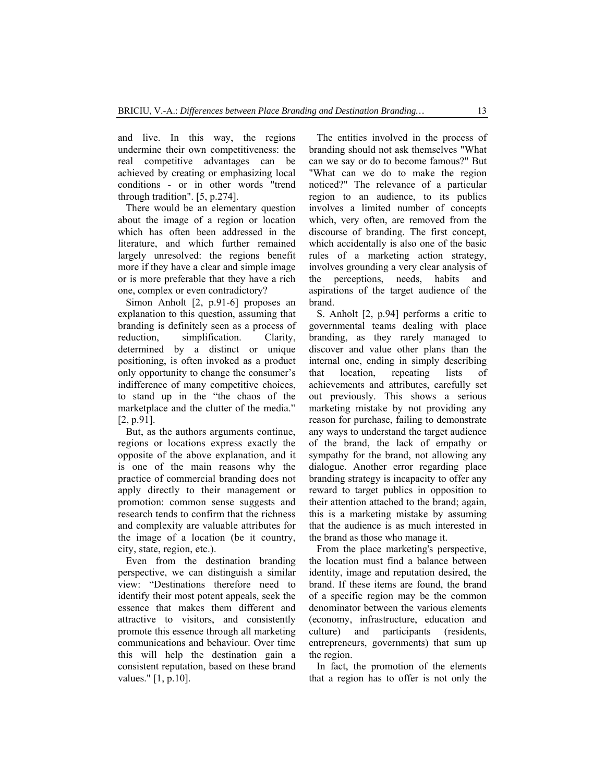and live. In this way, the regions undermine their own competitiveness: the real competitive advantages can be achieved by creating or emphasizing local conditions - or in other words "trend through tradition". [5, p.274].

There would be an elementary question about the image of a region or location which has often been addressed in the literature, and which further remained largely unresolved: the regions benefit more if they have a clear and simple image or is more preferable that they have a rich one, complex or even contradictory?

Simon Anholt [2, p.91-6] proposes an explanation to this question, assuming that branding is definitely seen as a process of reduction, simplification. Clarity, determined by a distinct or unique positioning, is often invoked as a product only opportunity to change the consumer's indifference of many competitive choices, to stand up in the "the chaos of the marketplace and the clutter of the media." [2, p.91].

But, as the authors arguments continue, regions or locations express exactly the opposite of the above explanation, and it is one of the main reasons why the practice of commercial branding does not apply directly to their management or promotion: common sense suggests and research tends to confirm that the richness and complexity are valuable attributes for the image of a location (be it country, city, state, region, etc.).

Even from the destination branding perspective, we can distinguish a similar view: "Destinations therefore need to identify their most potent appeals, seek the essence that makes them different and attractive to visitors, and consistently promote this essence through all marketing communications and behaviour. Over time this will help the destination gain a consistent reputation, based on these brand values." [1, p.10].

The entities involved in the process of branding should not ask themselves "What can we say or do to become famous?" But "What can we do to make the region noticed?" The relevance of a particular region to an audience, to its publics involves a limited number of concepts which, very often, are removed from the discourse of branding. The first concept, which accidentally is also one of the basic rules of a marketing action strategy, involves grounding a very clear analysis of the perceptions, needs, habits and aspirations of the target audience of the brand.

S. Anholt [2, p.94] performs a critic to governmental teams dealing with place branding, as they rarely managed to discover and value other plans than the internal one, ending in simply describing that location, repeating lists of achievements and attributes, carefully set out previously. This shows a serious marketing mistake by not providing any reason for purchase, failing to demonstrate any ways to understand the target audience of the brand, the lack of empathy or sympathy for the brand, not allowing any dialogue. Another error regarding place branding strategy is incapacity to offer any reward to target publics in opposition to their attention attached to the brand; again, this is a marketing mistake by assuming that the audience is as much interested in the brand as those who manage it.

From the place marketing's perspective, the location must find a balance between identity, image and reputation desired, the brand. If these items are found, the brand of a specific region may be the common denominator between the various elements (economy, infrastructure, education and culture) and participants (residents, entrepreneurs, governments) that sum up the region.

In fact, the promotion of the elements that a region has to offer is not only the